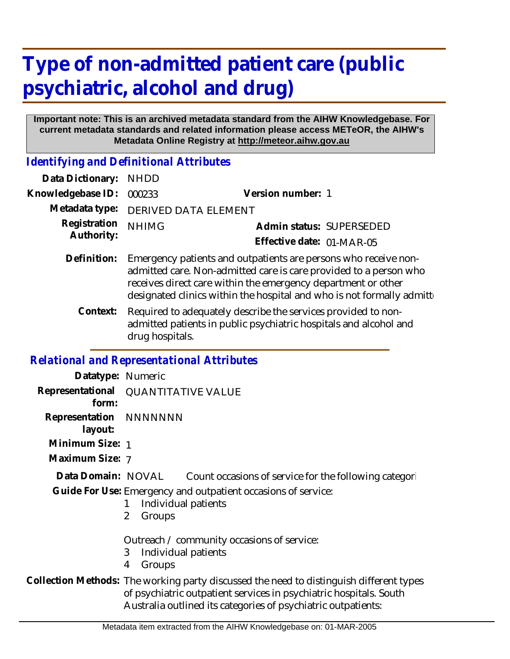# **Type of non-admitted patient care (public psychiatric, alcohol and drug)**

#### **Important note: This is an archived metadata standard from the AIHW Knowledgebase. For current metadata standards and related information please access METeOR, the AIHW's Metadata Online Registry at http://meteor.aihw.gov.au**

*Identifying and Definitional Attributes*

| Data Dictionary:           | <b>NHDD</b>                                                                                                                                                                                                                                                                      |                           |
|----------------------------|----------------------------------------------------------------------------------------------------------------------------------------------------------------------------------------------------------------------------------------------------------------------------------|---------------------------|
| Knowledgebase ID:          | 000233                                                                                                                                                                                                                                                                           | Version number: 1         |
| Metadata type:             | <b>DERIVED DATA ELEMENT</b>                                                                                                                                                                                                                                                      |                           |
| Registration<br>Authority: | <b>NHIMG</b>                                                                                                                                                                                                                                                                     | Admin status: SUPERSEDED  |
|                            |                                                                                                                                                                                                                                                                                  | Effective date: 01-MAR-05 |
| Definition:                | Emergency patients and outpatients are persons who receive non-<br>admitted care. Non-admitted care is care provided to a person who<br>receives direct care within the emergency department or other<br>designated clinics within the hospital and who is not formally admitted |                           |
| Context:                   | Required to adequately describe the services provided to non-<br>admitted patients in public psychiatric hospitals and alcohol and<br>drug hospitals.                                                                                                                            |                           |

## *Relational and Representational Attributes*

| Datatype: Numeric                 |                                                                                                                                                               |  |
|-----------------------------------|---------------------------------------------------------------------------------------------------------------------------------------------------------------|--|
| form:                             | Representational QUANTITATIVE VALUE                                                                                                                           |  |
| Representation NNNNNNN<br>layout: |                                                                                                                                                               |  |
| Minimum Size: 1                   |                                                                                                                                                               |  |
| Maximum Size: 7                   |                                                                                                                                                               |  |
|                                   | Data Domain: NOVAL Count occasions of service for the following categori                                                                                      |  |
|                                   | Guide For Use: Emergency and outpatient occasions of service:<br>Individual patients<br>2<br>Groups                                                           |  |
|                                   | Outreach / community occasions of service:<br>Individual patients<br>3<br>4<br>Groups                                                                         |  |
|                                   | Collection Methods: The working party discussed the need to distinguish different types<br>of psychiatric outpatient services in psychiatric hospitals. South |  |

Australia outlined its categories of psychiatric outpatients: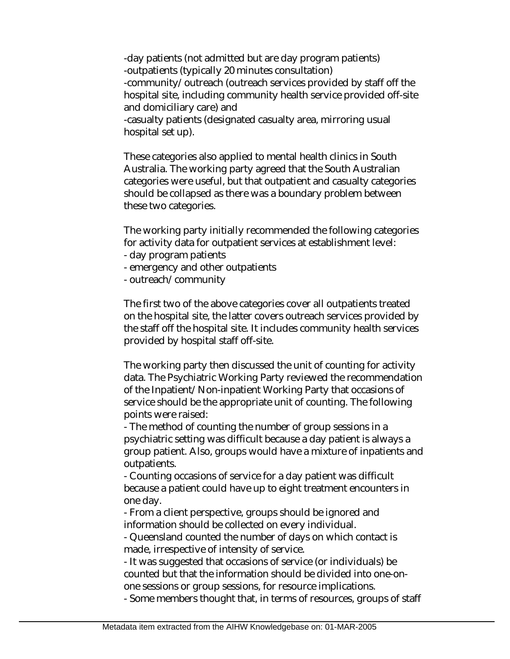-day patients (not admitted but are day program patients) -outpatients (typically 20 minutes consultation) -community/outreach (outreach services provided by staff off the hospital site, including community health service provided off-site and domiciliary care) and -casualty patients (designated casualty area, mirroring usual

hospital set up).

These categories also applied to mental health clinics in South Australia. The working party agreed that the South Australian categories were useful, but that outpatient and casualty categories should be collapsed as there was a boundary problem between these two categories.

The working party initially recommended the following categories for activity data for outpatient services at establishment level:

- day program patients
- emergency and other outpatients
- outreach/community

The first two of the above categories cover all outpatients treated on the hospital site, the latter covers outreach services provided by the staff off the hospital site. It includes community health services provided by hospital staff off-site.

The working party then discussed the unit of counting for activity data. The Psychiatric Working Party reviewed the recommendation of the Inpatient/Non-inpatient Working Party that occasions of service should be the appropriate unit of counting. The following points were raised:

- The method of counting the number of group sessions in a psychiatric setting was difficult because a day patient is always a group patient. Also, groups would have a mixture of inpatients and outpatients.

- Counting occasions of service for a day patient was difficult because a patient could have up to eight treatment encounters in one day.

- From a client perspective, groups should be ignored and information should be collected on every individual.

- Queensland counted the number of days on which contact is made, irrespective of intensity of service.

- It was suggested that occasions of service (or individuals) be counted but that the information should be divided into one-onone sessions or group sessions, for resource implications.

- Some members thought that, in terms of resources, groups of staff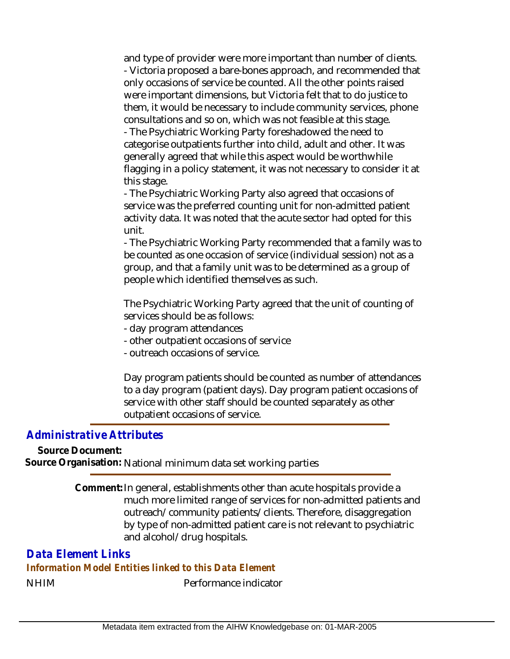and type of provider were more important than number of clients. - Victoria proposed a bare-bones approach, and recommended that only occasions of service be counted. All the other points raised were important dimensions, but Victoria felt that to do justice to them, it would be necessary to include community services, phone consultations and so on, which was not feasible at this stage.

- The Psychiatric Working Party foreshadowed the need to categorise outpatients further into child, adult and other. It was generally agreed that while this aspect would be worthwhile flagging in a policy statement, it was not necessary to consider it at this stage.

- The Psychiatric Working Party also agreed that occasions of service was the preferred counting unit for non-admitted patient activity data. It was noted that the acute sector had opted for this unit.

- The Psychiatric Working Party recommended that a family was to be counted as one occasion of service (individual session) not as a group, and that a family unit was to be determined as a group of people which identified themselves as such.

The Psychiatric Working Party agreed that the unit of counting of services should be as follows:

- day program attendances
- other outpatient occasions of service
- outreach occasions of service.

Day program patients should be counted as number of attendances to a day program (patient days). Day program patient occasions of service with other staff should be counted separately as other outpatient occasions of service.

## *Administrative Attributes*

**Source Document:**

**Source Organisation:** National minimum data set working parties

Comment: In general, establishments other than acute hospitals provide a much more limited range of services for non-admitted patients and outreach/community patients/clients. Therefore, disaggregation by type of non-admitted patient care is not relevant to psychiatric and alcohol/drug hospitals.

## *Data Element Links*

#### *Information Model Entities linked to this Data Element*

NHIM Performance indicator